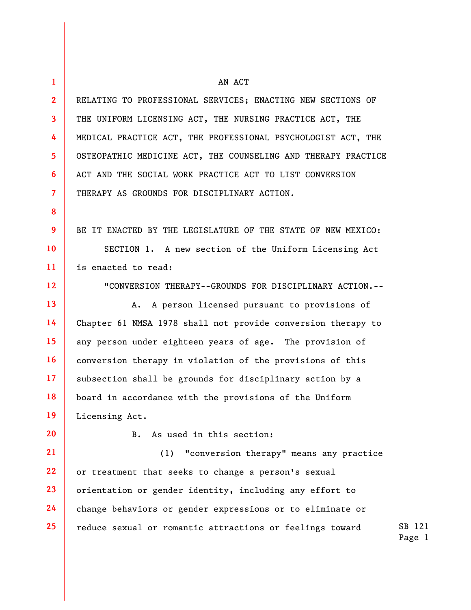| $\mathbf{1}$   | AN ACT                                                        |
|----------------|---------------------------------------------------------------|
|                |                                                               |
| $\overline{2}$ | RELATING TO PROFESSIONAL SERVICES; ENACTING NEW SECTIONS OF   |
| 3              | THE UNIFORM LICENSING ACT, THE NURSING PRACTICE ACT, THE      |
| 4              | MEDICAL PRACTICE ACT, THE PROFESSIONAL PSYCHOLOGIST ACT, THE  |
| 5              | OSTEOPATHIC MEDICINE ACT, THE COUNSELING AND THERAPY PRACTICE |
| 6              | ACT AND THE SOCIAL WORK PRACTICE ACT TO LIST CONVERSION       |
| $\overline{7}$ | THERAPY AS GROUNDS FOR DISCIPLINARY ACTION.                   |
| 8              |                                                               |
| 9              | BE IT ENACTED BY THE LEGISLATURE OF THE STATE OF NEW MEXICO:  |
| 10             | SECTION 1. A new section of the Uniform Licensing Act         |
| 11             | is enacted to read:                                           |
| 12             | "CONVERSION THERAPY--GROUNDS FOR DISCIPLINARY ACTION.--       |
| 13             | A person licensed pursuant to provisions of<br>Α.             |
| 14             | Chapter 61 NMSA 1978 shall not provide conversion therapy to  |
| 15             | any person under eighteen years of age. The provision of      |
| 16             | conversion therapy in violation of the provisions of this     |
| 17             | subsection shall be grounds for disciplinary action by a      |
| 18             | board in accordance with the provisions of the Uniform        |
| 19             | Licensing Act.                                                |
| 20             | As used in this section:<br><b>B.</b>                         |
| 21             | "conversion therapy" means any practice<br>(1)                |
| 22             | or treatment that seeks to change a person's sexual           |
| 23             | orientation or gender identity, including any effort to       |
| 24             | change behaviors or gender expressions or to eliminate or     |
| 25             | reduce sexual or romantic attractions or feelings toward      |
|                |                                                               |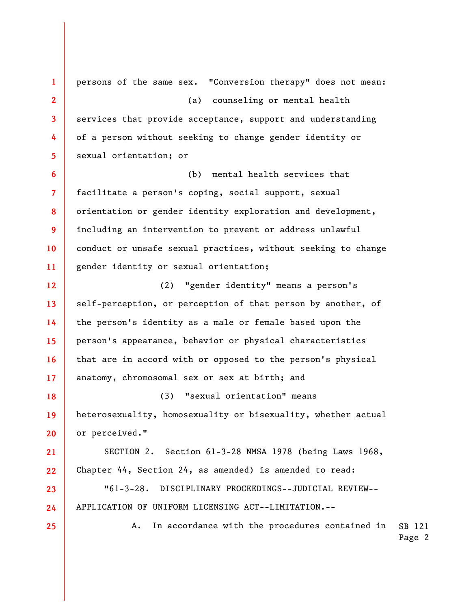SB 121 Page 2 **1 2 3 4 5 6 7 8 9 10 11 12 13 14 15 16 17 18 19 20 21 22 23 24 25**  persons of the same sex. "Conversion therapy" does not mean: (a) counseling or mental health services that provide acceptance, support and understanding of a person without seeking to change gender identity or sexual orientation; or (b) mental health services that facilitate a person's coping, social support, sexual orientation or gender identity exploration and development, including an intervention to prevent or address unlawful conduct or unsafe sexual practices, without seeking to change gender identity or sexual orientation; (2) "gender identity" means a person's self-perception, or perception of that person by another, of the person's identity as a male or female based upon the person's appearance, behavior or physical characteristics that are in accord with or opposed to the person's physical anatomy, chromosomal sex or sex at birth; and (3) "sexual orientation" means heterosexuality, homosexuality or bisexuality, whether actual or perceived." SECTION 2. Section 61-3-28 NMSA 1978 (being Laws 1968, Chapter 44, Section 24, as amended) is amended to read: "61-3-28. DISCIPLINARY PROCEEDINGS--JUDICIAL REVIEW-- APPLICATION OF UNIFORM LICENSING ACT--LIMITATION.-- A. In accordance with the procedures contained in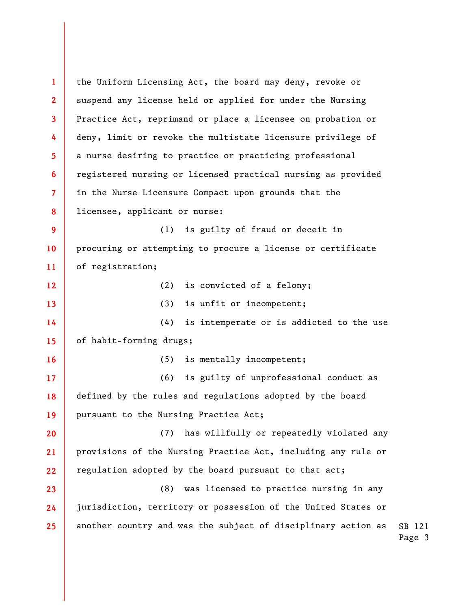SB 121 Page 3 **1 2 3 4 5 6 7 8 9 10 11 12 13 14 15 16 17 18 19 20 21 22 23 24 25**  the Uniform Licensing Act, the board may deny, revoke or suspend any license held or applied for under the Nursing Practice Act, reprimand or place a licensee on probation or deny, limit or revoke the multistate licensure privilege of a nurse desiring to practice or practicing professional registered nursing or licensed practical nursing as provided in the Nurse Licensure Compact upon grounds that the licensee, applicant or nurse: (1) is guilty of fraud or deceit in procuring or attempting to procure a license or certificate of registration; (2) is convicted of a felony; (3) is unfit or incompetent; (4) is intemperate or is addicted to the use of habit-forming drugs; (5) is mentally incompetent; (6) is guilty of unprofessional conduct as defined by the rules and regulations adopted by the board pursuant to the Nursing Practice Act; (7) has willfully or repeatedly violated any provisions of the Nursing Practice Act, including any rule or regulation adopted by the board pursuant to that act; (8) was licensed to practice nursing in any jurisdiction, territory or possession of the United States or another country and was the subject of disciplinary action as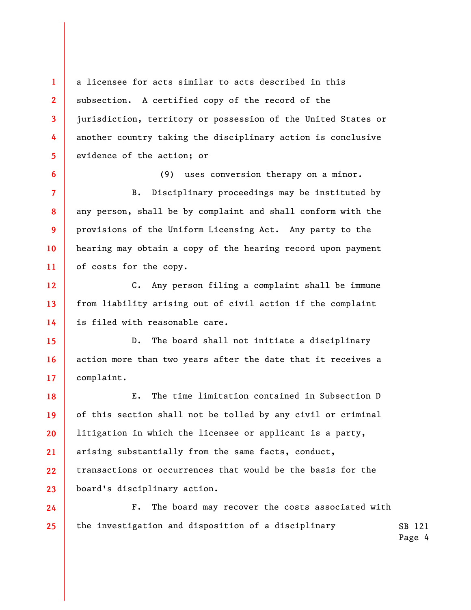a licensee for acts similar to acts described in this subsection. A certified copy of the record of the jurisdiction, territory or possession of the United States or another country taking the disciplinary action is conclusive evidence of the action; or

**1** 

**2** 

**3** 

**4** 

**5** 

**6** 

**7** 

**8** 

**9** 

**10** 

**11** 

(9) uses conversion therapy on a minor.

B. Disciplinary proceedings may be instituted by any person, shall be by complaint and shall conform with the provisions of the Uniform Licensing Act. Any party to the hearing may obtain a copy of the hearing record upon payment of costs for the copy.

**12 13 14**  C. Any person filing a complaint shall be immune from liability arising out of civil action if the complaint is filed with reasonable care.

**15 16 17**  D. The board shall not initiate a disciplinary action more than two years after the date that it receives a complaint.

**18 19 20 21 22 23**  E. The time limitation contained in Subsection D of this section shall not be tolled by any civil or criminal litigation in which the licensee or applicant is a party, arising substantially from the same facts, conduct, transactions or occurrences that would be the basis for the board's disciplinary action.

SB 121 **24 25**  F. The board may recover the costs associated with the investigation and disposition of a disciplinary

Page 4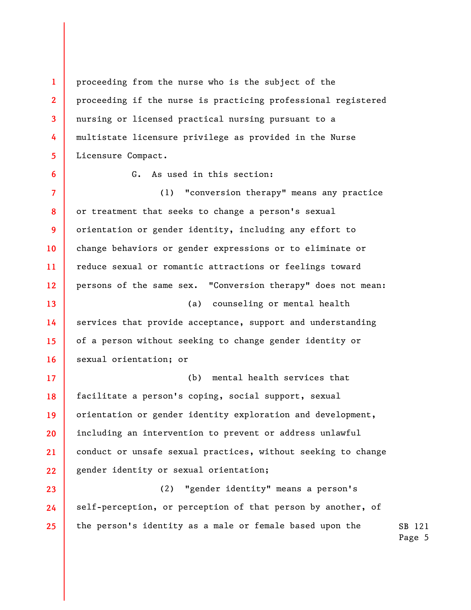**1 2 3 4 5**  proceeding from the nurse who is the subject of the proceeding if the nurse is practicing professional registered nursing or licensed practical nursing pursuant to a multistate licensure privilege as provided in the Nurse Licensure Compact.

G. As used in this section:

**6** 

**7 8 9 10 11 12 13 14 15 16**  (1) "conversion therapy" means any practice or treatment that seeks to change a person's sexual orientation or gender identity, including any effort to change behaviors or gender expressions or to eliminate or reduce sexual or romantic attractions or feelings toward persons of the same sex. "Conversion therapy" does not mean: (a) counseling or mental health services that provide acceptance, support and understanding of a person without seeking to change gender identity or sexual orientation; or

**17 18 19 20 21 22**  (b) mental health services that facilitate a person's coping, social support, sexual orientation or gender identity exploration and development, including an intervention to prevent or address unlawful conduct or unsafe sexual practices, without seeking to change gender identity or sexual orientation;

SB 121 **23 24 25**  (2) "gender identity" means a person's self-perception, or perception of that person by another, of the person's identity as a male or female based upon the

Page 5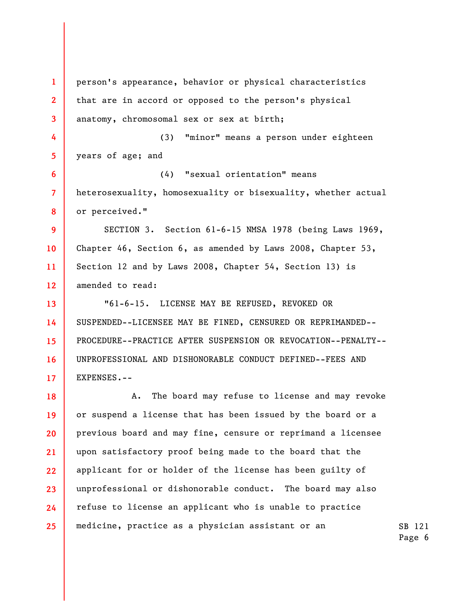**1 2 3 4 5 6 7 8 9 10 11 12 13 14 15 16 17 18 19 20 21 22 23 24 25**  person's appearance, behavior or physical characteristics that are in accord or opposed to the person's physical anatomy, chromosomal sex or sex at birth; (3) "minor" means a person under eighteen years of age; and (4) "sexual orientation" means heterosexuality, homosexuality or bisexuality, whether actual or perceived." SECTION 3. Section 61-6-15 NMSA 1978 (being Laws 1969, Chapter 46, Section 6, as amended by Laws 2008, Chapter 53, Section 12 and by Laws 2008, Chapter 54, Section 13) is amended to read: "61-6-15. LICENSE MAY BE REFUSED, REVOKED OR SUSPENDED--LICENSEE MAY BE FINED, CENSURED OR REPRIMANDED-- PROCEDURE--PRACTICE AFTER SUSPENSION OR REVOCATION--PENALTY-- UNPROFESSIONAL AND DISHONORABLE CONDUCT DEFINED--FEES AND EXPENSES.-- A. The board may refuse to license and may revoke or suspend a license that has been issued by the board or a previous board and may fine, censure or reprimand a licensee upon satisfactory proof being made to the board that the applicant for or holder of the license has been guilty of unprofessional or dishonorable conduct. The board may also refuse to license an applicant who is unable to practice medicine, practice as a physician assistant or an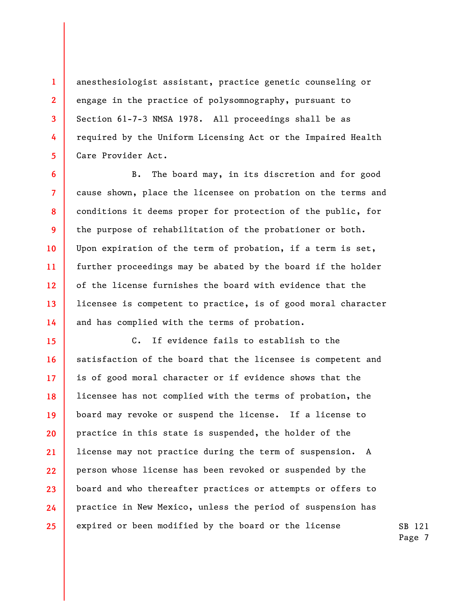anesthesiologist assistant, practice genetic counseling or engage in the practice of polysomnography, pursuant to Section 61-7-3 NMSA 1978. All proceedings shall be as required by the Uniform Licensing Act or the Impaired Health Care Provider Act.

**1** 

**2** 

**3** 

**4** 

**5** 

**6** 

**7** 

**8** 

**9** 

**10** 

**11** 

**12** 

**13** 

**14** 

B. The board may, in its discretion and for good cause shown, place the licensee on probation on the terms and conditions it deems proper for protection of the public, for the purpose of rehabilitation of the probationer or both. Upon expiration of the term of probation, if a term is set, further proceedings may be abated by the board if the holder of the license furnishes the board with evidence that the licensee is competent to practice, is of good moral character and has complied with the terms of probation.

**15 16 17 18 19 20 21 22 23 24 25**  C. If evidence fails to establish to the satisfaction of the board that the licensee is competent and is of good moral character or if evidence shows that the licensee has not complied with the terms of probation, the board may revoke or suspend the license. If a license to practice in this state is suspended, the holder of the license may not practice during the term of suspension. A person whose license has been revoked or suspended by the board and who thereafter practices or attempts or offers to practice in New Mexico, unless the period of suspension has expired or been modified by the board or the license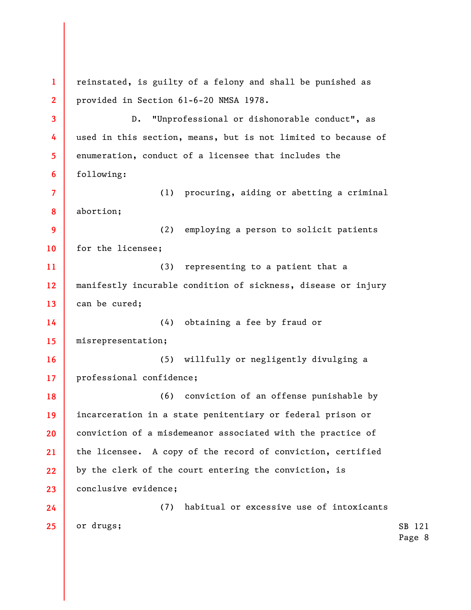SB 121 Page 8 **1 2 3 4 5 6 7 8 9 10 11 12 13 14 15 16 17 18 19 20 21 22 23 24 25**  reinstated, is guilty of a felony and shall be punished as provided in Section 61-6-20 NMSA 1978. D. "Unprofessional or dishonorable conduct", as used in this section, means, but is not limited to because of enumeration, conduct of a licensee that includes the following: (1) procuring, aiding or abetting a criminal abortion; (2) employing a person to solicit patients for the licensee; (3) representing to a patient that a manifestly incurable condition of sickness, disease or injury can be cured; (4) obtaining a fee by fraud or misrepresentation; (5) willfully or negligently divulging a professional confidence; (6) conviction of an offense punishable by incarceration in a state penitentiary or federal prison or conviction of a misdemeanor associated with the practice of the licensee. A copy of the record of conviction, certified by the clerk of the court entering the conviction, is conclusive evidence; (7) habitual or excessive use of intoxicants or drugs;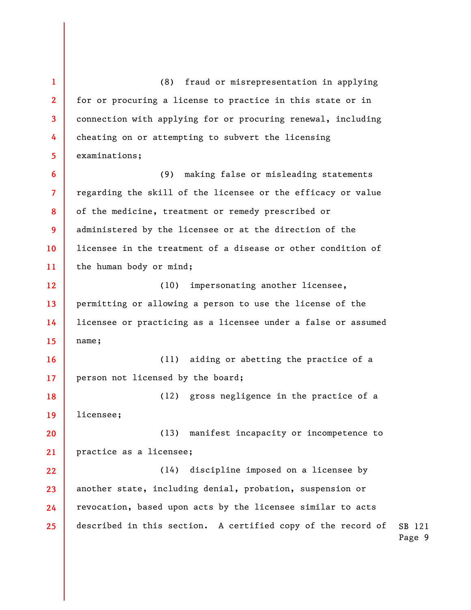SB 121 Page 9 **1 2 3 4 5 6 7 8 9 10 11 12 13 14 15 16 17 18 19 20 21 22 23 24 25**  (8) fraud or misrepresentation in applying for or procuring a license to practice in this state or in connection with applying for or procuring renewal, including cheating on or attempting to subvert the licensing examinations; (9) making false or misleading statements regarding the skill of the licensee or the efficacy or value of the medicine, treatment or remedy prescribed or administered by the licensee or at the direction of the licensee in the treatment of a disease or other condition of the human body or mind; (10) impersonating another licensee, permitting or allowing a person to use the license of the licensee or practicing as a licensee under a false or assumed name; (11) aiding or abetting the practice of a person not licensed by the board; (12) gross negligence in the practice of a licensee; (13) manifest incapacity or incompetence to practice as a licensee; (14) discipline imposed on a licensee by another state, including denial, probation, suspension or revocation, based upon acts by the licensee similar to acts described in this section. A certified copy of the record of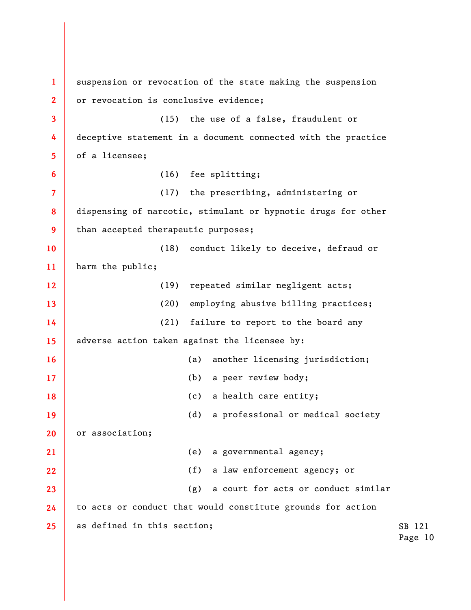SB 121 Page 10 **1 2 3 4 5 6 7 8 9 10 11 12 13 14 15 16 17 18 19 20 21 22 23 24 25**  suspension or revocation of the state making the suspension or revocation is conclusive evidence; (15) the use of a false, fraudulent or deceptive statement in a document connected with the practice of a licensee; (16) fee splitting; (17) the prescribing, administering or dispensing of narcotic, stimulant or hypnotic drugs for other than accepted therapeutic purposes; (18) conduct likely to deceive, defraud or harm the public; (19) repeated similar negligent acts; (20) employing abusive billing practices; (21) failure to report to the board any adverse action taken against the licensee by: (a) another licensing jurisdiction; (b) a peer review body; (c) a health care entity; (d) a professional or medical society or association; (e) a governmental agency; (f) a law enforcement agency; or (g) a court for acts or conduct similar to acts or conduct that would constitute grounds for action as defined in this section;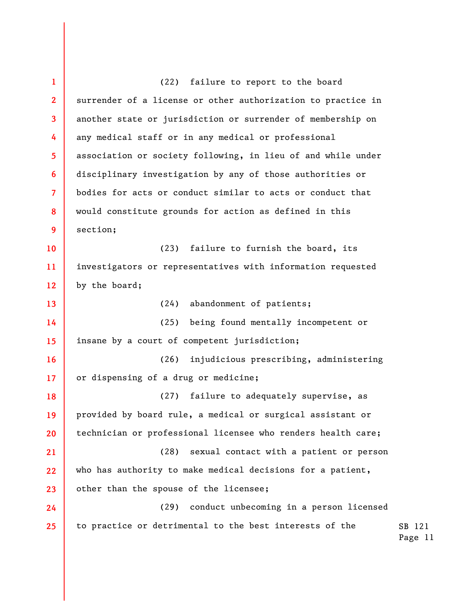SB 121 **1 2 3 4 5 6 7 8 9 10 11 12 13 14 15 16 17 18 19 20 21 22 23 24 25**  (22) failure to report to the board surrender of a license or other authorization to practice in another state or jurisdiction or surrender of membership on any medical staff or in any medical or professional association or society following, in lieu of and while under disciplinary investigation by any of those authorities or bodies for acts or conduct similar to acts or conduct that would constitute grounds for action as defined in this section; (23) failure to furnish the board, its investigators or representatives with information requested by the board; (24) abandonment of patients; (25) being found mentally incompetent or insane by a court of competent jurisdiction; (26) injudicious prescribing, administering or dispensing of a drug or medicine; (27) failure to adequately supervise, as provided by board rule, a medical or surgical assistant or technician or professional licensee who renders health care; (28) sexual contact with a patient or person who has authority to make medical decisions for a patient, other than the spouse of the licensee; (29) conduct unbecoming in a person licensed to practice or detrimental to the best interests of the

Page 11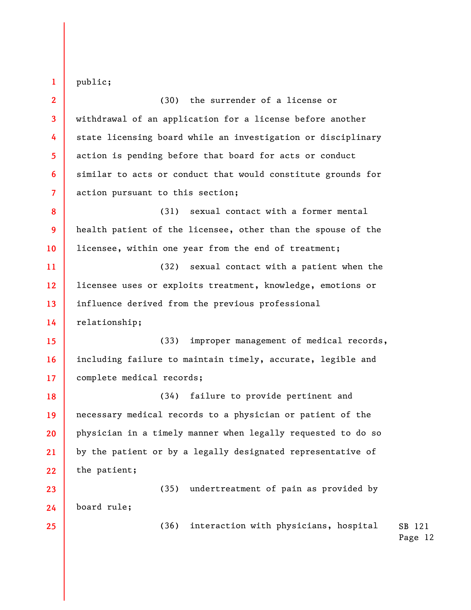public;

**1** 

**2 3 4 5 6 7 8 9 10 11 12 13 14 15 16**  (30) the surrender of a license or withdrawal of an application for a license before another state licensing board while an investigation or disciplinary action is pending before that board for acts or conduct similar to acts or conduct that would constitute grounds for action pursuant to this section; (31) sexual contact with a former mental health patient of the licensee, other than the spouse of the licensee, within one year from the end of treatment; (32) sexual contact with a patient when the licensee uses or exploits treatment, knowledge, emotions or influence derived from the previous professional relationship; (33) improper management of medical records, including failure to maintain timely, accurate, legible and

**18 19 20 21 22**  (34) failure to provide pertinent and necessary medical records to a physician or patient of the physician in a timely manner when legally requested to do so by the patient or by a legally designated representative of the patient;

complete medical records;

**23 24**  (35) undertreatment of pain as provided by board rule;

(36) interaction with physicians, hospital

SB 121 Page 12

**25** 

**17**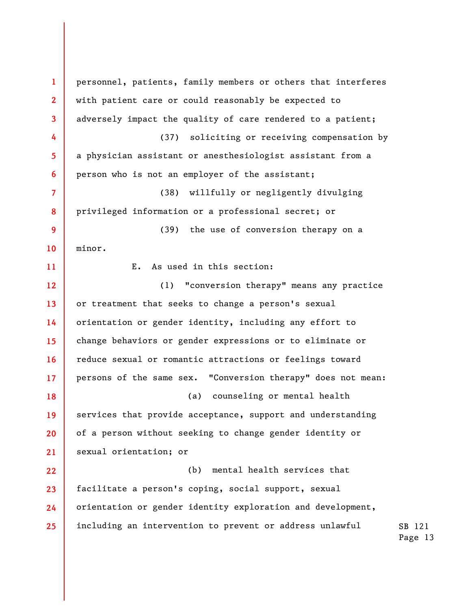SB 121 **1 2 3 4 5 6 7 8 9 10 11 12 13 14 15 16 17 18 19 20 21 22 23 24 25**  personnel, patients, family members or others that interferes with patient care or could reasonably be expected to adversely impact the quality of care rendered to a patient; (37) soliciting or receiving compensation by a physician assistant or anesthesiologist assistant from a person who is not an employer of the assistant; (38) willfully or negligently divulging privileged information or a professional secret; or (39) the use of conversion therapy on a minor. E. As used in this section: (1) "conversion therapy" means any practice or treatment that seeks to change a person's sexual orientation or gender identity, including any effort to change behaviors or gender expressions or to eliminate or reduce sexual or romantic attractions or feelings toward persons of the same sex. "Conversion therapy" does not mean: (a) counseling or mental health services that provide acceptance, support and understanding of a person without seeking to change gender identity or sexual orientation; or (b) mental health services that facilitate a person's coping, social support, sexual orientation or gender identity exploration and development, including an intervention to prevent or address unlawful

Page 13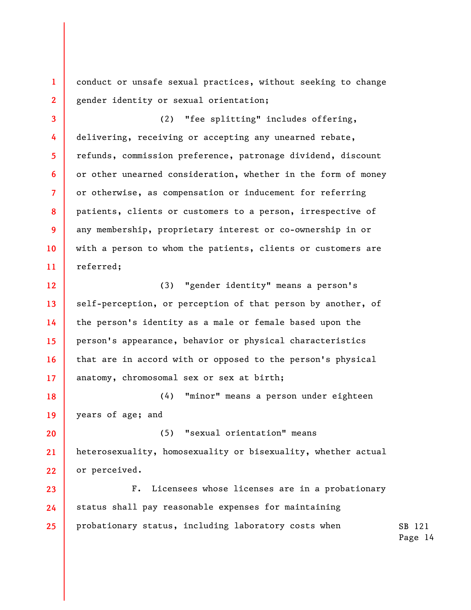conduct or unsafe sexual practices, without seeking to change gender identity or sexual orientation;

**1** 

**2** 

**3** 

**4** 

**5** 

**6** 

**7** 

**8** 

**9** 

**10** 

**11** 

(2) "fee splitting" includes offering, delivering, receiving or accepting any unearned rebate, refunds, commission preference, patronage dividend, discount or other unearned consideration, whether in the form of money or otherwise, as compensation or inducement for referring patients, clients or customers to a person, irrespective of any membership, proprietary interest or co-ownership in or with a person to whom the patients, clients or customers are referred;

**12 13 14 15 16 17**  (3) "gender identity" means a person's self-perception, or perception of that person by another, of the person's identity as a male or female based upon the person's appearance, behavior or physical characteristics that are in accord with or opposed to the person's physical anatomy, chromosomal sex or sex at birth;

**18 19**  (4) "minor" means a person under eighteen years of age; and

**20 21 22**  (5) "sexual orientation" means heterosexuality, homosexuality or bisexuality, whether actual or perceived.

**23 24 25**  F. Licensees whose licenses are in a probationary status shall pay reasonable expenses for maintaining probationary status, including laboratory costs when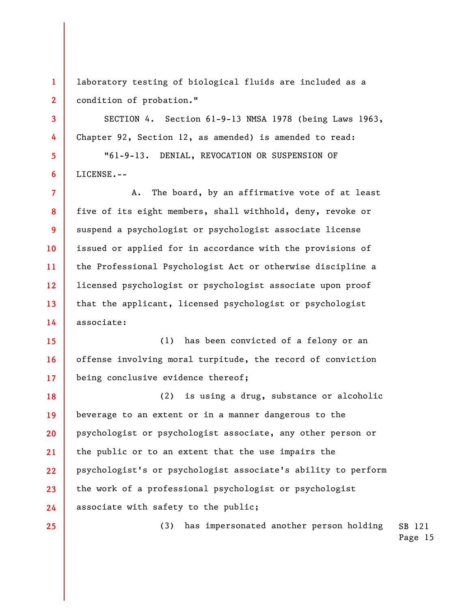laboratory testing of biological fluids are included as a condition of probation."

SECTION 4. Section 61-9-13 NMSA 1978 (being Laws 1963, Chapter 92, Section 12, as amended) is amended to read:

"61-9-13. DENIAL, REVOCATION OR SUSPENSION OF LICENSE.--

**7 8 9 10 11 12 13 14**  A. The board, by an affirmative vote of at least five of its eight members, shall withhold, deny, revoke or suspend a psychologist or psychologist associate license issued or applied for in accordance with the provisions of the Professional Psychologist Act or otherwise discipline a licensed psychologist or psychologist associate upon proof that the applicant, licensed psychologist or psychologist associate:

**15 16 17**  (1) has been convicted of a felony or an offense involving moral turpitude, the record of conviction being conclusive evidence thereof;

**18 19 20 21 22 23 24**  (2) is using a drug, substance or alcoholic beverage to an extent or in a manner dangerous to the psychologist or psychologist associate, any other person or the public or to an extent that the use impairs the psychologist's or psychologist associate's ability to perform the work of a professional psychologist or psychologist associate with safety to the public;

**25** 

**1** 

**2** 

**3** 

**4** 

**5** 

**6** 

SB 121 (3) has impersonated another person holding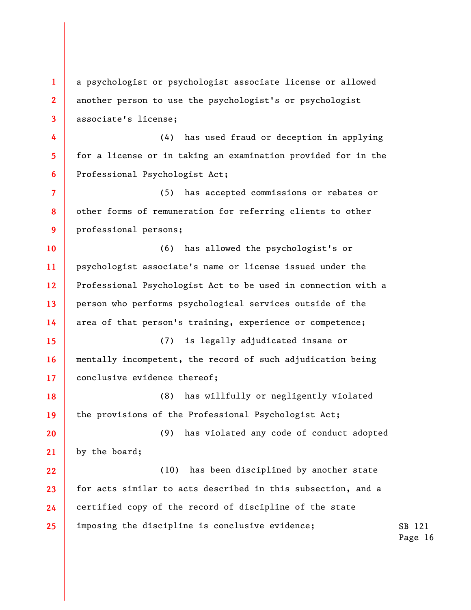**1 2 3 4 5 6 7 8 9 10 11 12 13 14 15 16 17 18 19 20 21 22 23 24 25**  a psychologist or psychologist associate license or allowed another person to use the psychologist's or psychologist associate's license; (4) has used fraud or deception in applying for a license or in taking an examination provided for in the Professional Psychologist Act; (5) has accepted commissions or rebates or other forms of remuneration for referring clients to other professional persons; (6) has allowed the psychologist's or psychologist associate's name or license issued under the Professional Psychologist Act to be used in connection with a person who performs psychological services outside of the area of that person's training, experience or competence; (7) is legally adjudicated insane or mentally incompetent, the record of such adjudication being conclusive evidence thereof; (8) has willfully or negligently violated the provisions of the Professional Psychologist Act; (9) has violated any code of conduct adopted by the board; (10) has been disciplined by another state for acts similar to acts described in this subsection, and a certified copy of the record of discipline of the state imposing the discipline is conclusive evidence;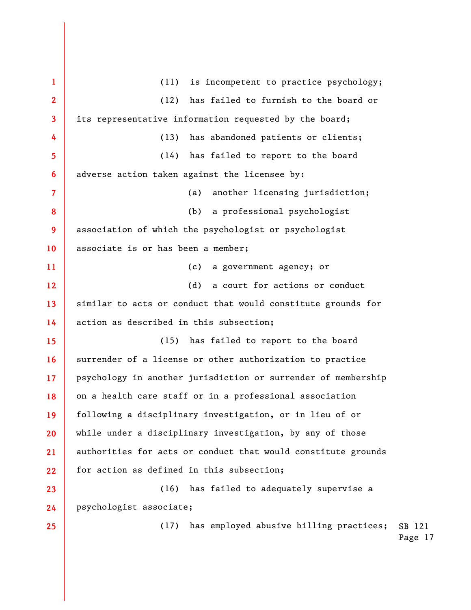SB 121 Page 17 **1 2 3 4 5 6 7 8 9 10 11 12 13 14 15 16 17 18 19 20 21 22 23 24 25**  (11) is incompetent to practice psychology; (12) has failed to furnish to the board or its representative information requested by the board; (13) has abandoned patients or clients; (14) has failed to report to the board adverse action taken against the licensee by: (a) another licensing jurisdiction; (b) a professional psychologist association of which the psychologist or psychologist associate is or has been a member; (c) a government agency; or (d) a court for actions or conduct similar to acts or conduct that would constitute grounds for action as described in this subsection; (15) has failed to report to the board surrender of a license or other authorization to practice psychology in another jurisdiction or surrender of membership on a health care staff or in a professional association following a disciplinary investigation, or in lieu of or while under a disciplinary investigation, by any of those authorities for acts or conduct that would constitute grounds for action as defined in this subsection; (16) has failed to adequately supervise a psychologist associate; (17) has employed abusive billing practices;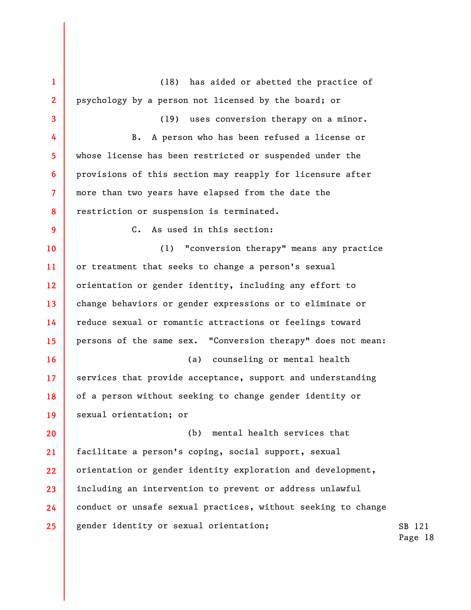SB 121 Page 18 **1 2 3 4 5 6 7 8 9 10 11 12 13 14 15 16 17 18 19 20 21 22 23 24 25**  (18) has aided or abetted the practice of psychology by a person not licensed by the board; or (19) uses conversion therapy on a minor. B. A person who has been refused a license or whose license has been restricted or suspended under the provisions of this section may reapply for licensure after more than two years have elapsed from the date the restriction or suspension is terminated. C. As used in this section: (1) "conversion therapy" means any practice or treatment that seeks to change a person's sexual orientation or gender identity, including any effort to change behaviors or gender expressions or to eliminate or reduce sexual or romantic attractions or feelings toward persons of the same sex. "Conversion therapy" does not mean: (a) counseling or mental health services that provide acceptance, support and understanding of a person without seeking to change gender identity or sexual orientation; or (b) mental health services that facilitate a person's coping, social support, sexual orientation or gender identity exploration and development, including an intervention to prevent or address unlawful conduct or unsafe sexual practices, without seeking to change gender identity or sexual orientation;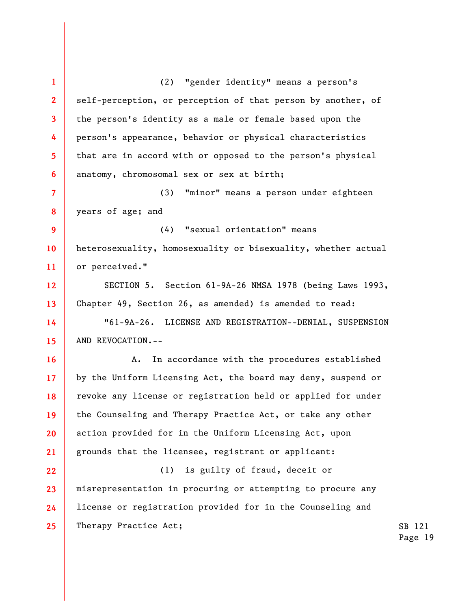**1 2 3 4 5 6 7 8 9 10 11 12 13 14 15 16 17 18 19 20 21 22 23 24 25**  (2) "gender identity" means a person's self-perception, or perception of that person by another, of the person's identity as a male or female based upon the person's appearance, behavior or physical characteristics that are in accord with or opposed to the person's physical anatomy, chromosomal sex or sex at birth; (3) "minor" means a person under eighteen years of age; and (4) "sexual orientation" means heterosexuality, homosexuality or bisexuality, whether actual or perceived." SECTION 5. Section 61-9A-26 NMSA 1978 (being Laws 1993, Chapter 49, Section 26, as amended) is amended to read: "61-9A-26. LICENSE AND REGISTRATION--DENIAL, SUSPENSION AND REVOCATION.-- A. In accordance with the procedures established by the Uniform Licensing Act, the board may deny, suspend or revoke any license or registration held or applied for under the Counseling and Therapy Practice Act, or take any other action provided for in the Uniform Licensing Act, upon grounds that the licensee, registrant or applicant: (1) is guilty of fraud, deceit or misrepresentation in procuring or attempting to procure any license or registration provided for in the Counseling and Therapy Practice Act;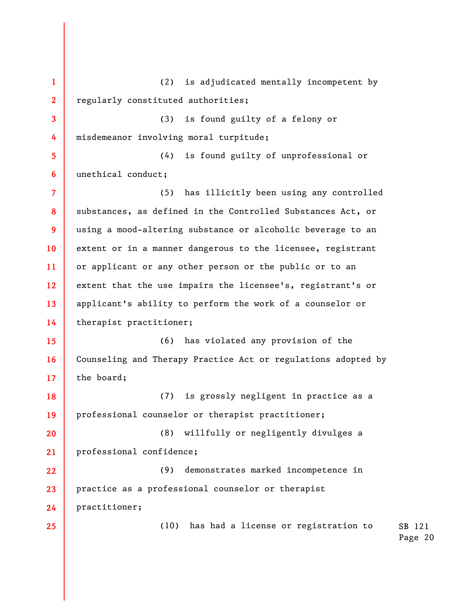SB 121 Page 20 **1 2 3 4 5 6 7 8 9 10 11 12 13 14 15 16 17 18 19 20 21 22 23 24 25**  (2) is adjudicated mentally incompetent by regularly constituted authorities; (3) is found guilty of a felony or misdemeanor involving moral turpitude; (4) is found guilty of unprofessional or unethical conduct; (5) has illicitly been using any controlled substances, as defined in the Controlled Substances Act, or using a mood-altering substance or alcoholic beverage to an extent or in a manner dangerous to the licensee, registrant or applicant or any other person or the public or to an extent that the use impairs the licensee's, registrant's or applicant's ability to perform the work of a counselor or therapist practitioner; (6) has violated any provision of the Counseling and Therapy Practice Act or regulations adopted by the board; (7) is grossly negligent in practice as a professional counselor or therapist practitioner; (8) willfully or negligently divulges a professional confidence; (9) demonstrates marked incompetence in practice as a professional counselor or therapist practitioner; (10) has had a license or registration to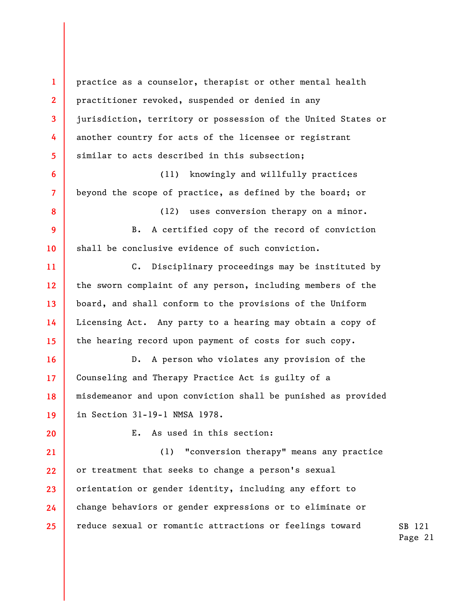**1 2 3 4 5 6 7 8 9 10 11 12 13 14 15 16 17 18 19 20 21 22 23 24 25**  practice as a counselor, therapist or other mental health practitioner revoked, suspended or denied in any jurisdiction, territory or possession of the United States or another country for acts of the licensee or registrant similar to acts described in this subsection; (11) knowingly and willfully practices beyond the scope of practice, as defined by the board; or (12) uses conversion therapy on a minor. B. A certified copy of the record of conviction shall be conclusive evidence of such conviction. C. Disciplinary proceedings may be instituted by the sworn complaint of any person, including members of the board, and shall conform to the provisions of the Uniform Licensing Act. Any party to a hearing may obtain a copy of the hearing record upon payment of costs for such copy. D. A person who violates any provision of the Counseling and Therapy Practice Act is guilty of a misdemeanor and upon conviction shall be punished as provided in Section 31-19-1 NMSA 1978. E. As used in this section: (1) "conversion therapy" means any practice or treatment that seeks to change a person's sexual orientation or gender identity, including any effort to change behaviors or gender expressions or to eliminate or reduce sexual or romantic attractions or feelings toward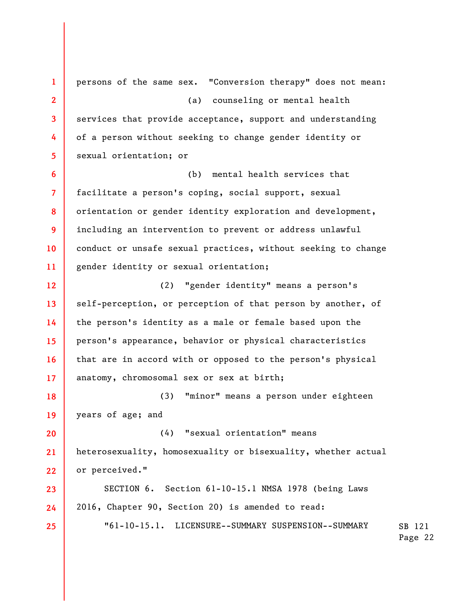SB 121 Page 22 **1 2 3 4 5 6 7 8 9 10 11 12 13 14 15 16 17 18 19 20 21 22 23 24 25**  persons of the same sex. "Conversion therapy" does not mean: (a) counseling or mental health services that provide acceptance, support and understanding of a person without seeking to change gender identity or sexual orientation; or (b) mental health services that facilitate a person's coping, social support, sexual orientation or gender identity exploration and development, including an intervention to prevent or address unlawful conduct or unsafe sexual practices, without seeking to change gender identity or sexual orientation; (2) "gender identity" means a person's self-perception, or perception of that person by another, of the person's identity as a male or female based upon the person's appearance, behavior or physical characteristics that are in accord with or opposed to the person's physical anatomy, chromosomal sex or sex at birth; (3) "minor" means a person under eighteen years of age; and (4) "sexual orientation" means heterosexuality, homosexuality or bisexuality, whether actual or perceived." SECTION 6. Section 61-10-15.1 NMSA 1978 (being Laws 2016, Chapter 90, Section 20) is amended to read: "61-10-15.1. LICENSURE--SUMMARY SUSPENSION--SUMMARY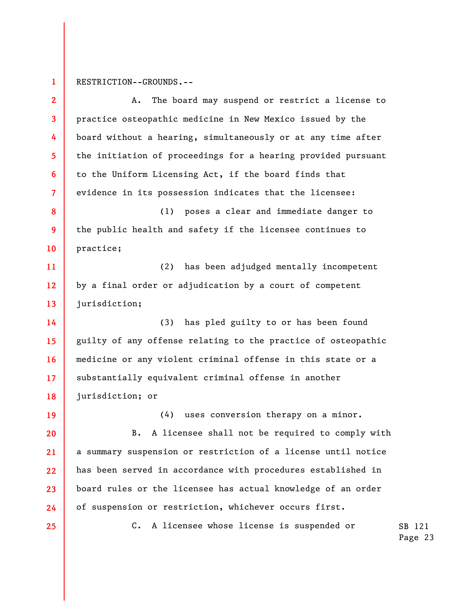**1**  RESTRICTION--GROUNDS.--

| $\mathbf{2}$             | The board may suspend or restrict a license to<br>Α.          |
|--------------------------|---------------------------------------------------------------|
| $\overline{\mathbf{3}}$  | practice osteopathic medicine in New Mexico issued by the     |
| 4                        | board without a hearing, simultaneously or at any time after  |
| 5 <sub>5</sub>           | the initiation of proceedings for a hearing provided pursuant |
| 6                        | to the Uniform Licensing Act, if the board finds that         |
| $\overline{\mathcal{L}}$ | evidence in its possession indicates that the licensee:       |
| 8                        | poses a clear and immediate danger to<br>(1)                  |
| 9                        | the public health and safety if the licensee continues to     |
| 10                       | practice;                                                     |
| 11                       | (2) has been adjudged mentally incompetent                    |
| 12                       | by a final order or adjudication by a court of competent      |
| 13                       | jurisdiction;                                                 |
| 14                       | (3)<br>has pled guilty to or has been found                   |
| 15                       | guilty of any offense relating to the practice of osteopathic |
| 16                       | medicine or any violent criminal offense in this state or a   |
| 17                       | substantially equivalent criminal offense in another          |
| 18                       | jurisdiction; or                                              |
| 19                       | (4) uses conversion therapy on a minor.                       |
| 20                       | A licensee shall not be required to comply with<br>в.         |
| 21                       | a summary suspension or restriction of a license until notice |
| 22                       | has been served in accordance with procedures established in  |
| 23                       | board rules or the licensee has actual knowledge of an order  |
| 24                       | of suspension or restriction, whichever occurs first.         |
| 25                       | A licensee whose license is suspended or<br>$c_{\bullet}$     |
|                          |                                                               |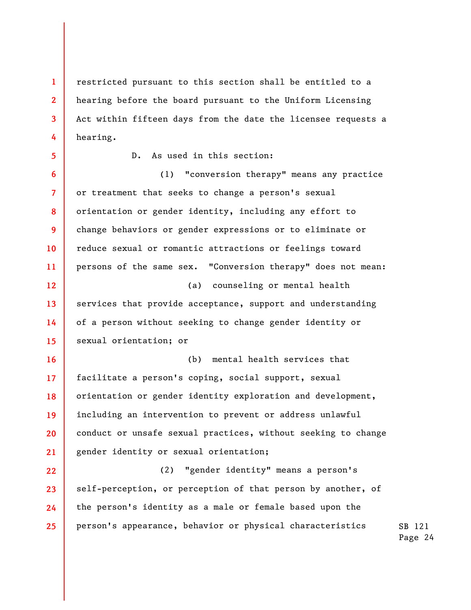restricted pursuant to this section shall be entitled to a hearing before the board pursuant to the Uniform Licensing Act within fifteen days from the date the licensee requests a hearing.

(1) "conversion therapy" means any practice

D. As used in this section:

**24** 

**25** 

**1** 

**2** 

**3** 

**4** 

**21 22 23**  or treatment that seeks to change a person's sexual orientation or gender identity, including any effort to change behaviors or gender expressions or to eliminate or reduce sexual or romantic attractions or feelings toward persons of the same sex. "Conversion therapy" does not mean: (a) counseling or mental health services that provide acceptance, support and understanding of a person without seeking to change gender identity or sexual orientation; or (b) mental health services that facilitate a person's coping, social support, sexual orientation or gender identity exploration and development, including an intervention to prevent or address unlawful conduct or unsafe sexual practices, without seeking to change gender identity or sexual orientation; (2) "gender identity" means a person's self-perception, or perception of that person by another, of

SB 121 person's appearance, behavior or physical characteristics

the person's identity as a male or female based upon the

Page 24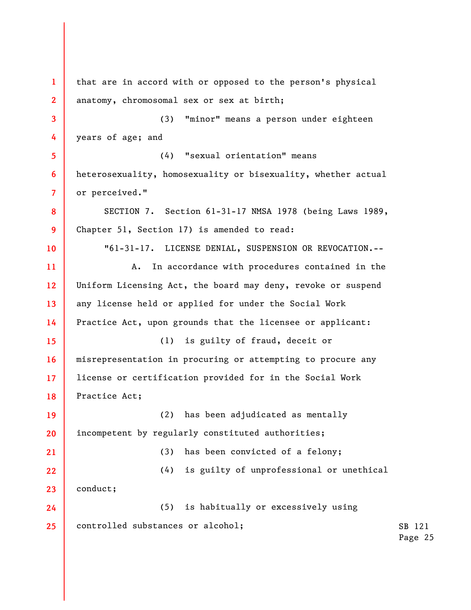SB 121 Page 25 **1 2 3 4 5 6 7 8 9 10 11 12 13 14 15 16 17 18 19 20 21 22 23 24 25**  that are in accord with or opposed to the person's physical anatomy, chromosomal sex or sex at birth; (3) "minor" means a person under eighteen years of age; and (4) "sexual orientation" means heterosexuality, homosexuality or bisexuality, whether actual or perceived." SECTION 7. Section 61-31-17 NMSA 1978 (being Laws 1989, Chapter 51, Section 17) is amended to read: "61-31-17. LICENSE DENIAL, SUSPENSION OR REVOCATION.-- A. In accordance with procedures contained in the Uniform Licensing Act, the board may deny, revoke or suspend any license held or applied for under the Social Work Practice Act, upon grounds that the licensee or applicant: (1) is guilty of fraud, deceit or misrepresentation in procuring or attempting to procure any license or certification provided for in the Social Work Practice Act; (2) has been adjudicated as mentally incompetent by regularly constituted authorities; (3) has been convicted of a felony; (4) is guilty of unprofessional or unethical conduct; (5) is habitually or excessively using controlled substances or alcohol;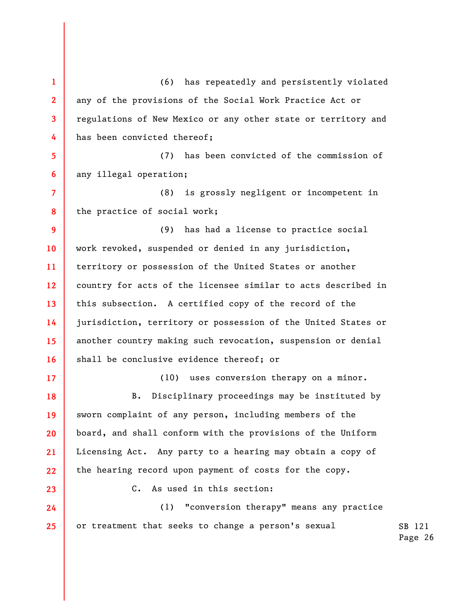SB 121 Page 26 **1 2 3 4 5 6 7 8 9 10 11 12 13 14 15 16 17 18 19 20 21 22 23 24 25**  (6) has repeatedly and persistently violated any of the provisions of the Social Work Practice Act or regulations of New Mexico or any other state or territory and has been convicted thereof; (7) has been convicted of the commission of any illegal operation; (8) is grossly negligent or incompetent in the practice of social work; (9) has had a license to practice social work revoked, suspended or denied in any jurisdiction, territory or possession of the United States or another country for acts of the licensee similar to acts described in this subsection. A certified copy of the record of the jurisdiction, territory or possession of the United States or another country making such revocation, suspension or denial shall be conclusive evidence thereof; or (10) uses conversion therapy on a minor. B. Disciplinary proceedings may be instituted by sworn complaint of any person, including members of the board, and shall conform with the provisions of the Uniform Licensing Act. Any party to a hearing may obtain a copy of the hearing record upon payment of costs for the copy. C. As used in this section: (1) "conversion therapy" means any practice or treatment that seeks to change a person's sexual